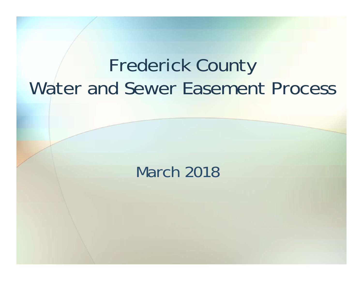## Frederick County Water and Sewer Easement Process

#### March 2018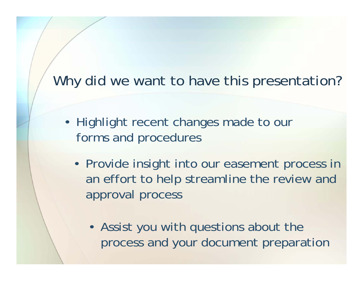#### Why did we want to have this presentation?

- Highlight recent changes made to our forms and procedures
	- Provide insight into our easement process in an effort to help streamline the review and approval process
		- Assist you with questions about the process and your document preparation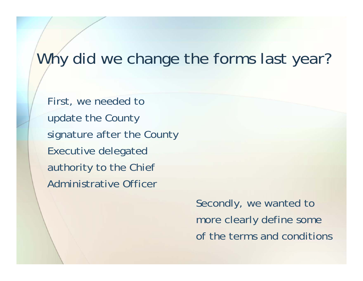#### Why did we change the forms last year?

First, we needed to update the County signature after the County Executive delegated authority to the Chief Administrative Officer

> Secondly, we wanted to more clearly define some of the terms and conditions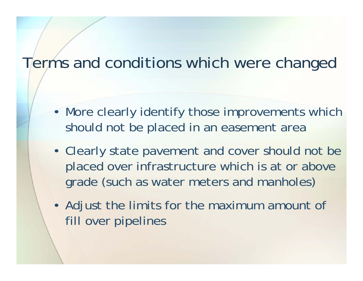#### Terms and conditions which were changed

- More clearly identify those improvements which should not be placed in an easement area
- Clearly state pavement and cover should not be placed over infrastructure which is at or above grade (such as water meters and manholes)
- Adjust the limits for the maximum amount of fill over pipelines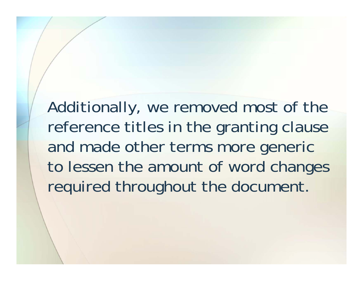Additionally, we removed most of the reference titles in the granting clause and made other terms more generic to lessen the amount of word changes required throughout the document.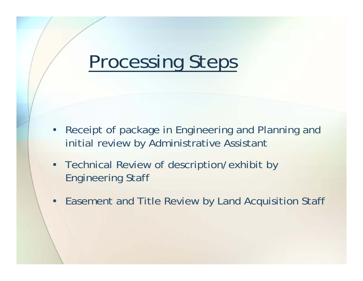## Processing Steps

- • Receipt of package in Engineering and Planning and initial review by Administrative Assistant
- • Technical Review of description/exhibit by Engineering Staff
- Easement and Title Review by Land Acquisition Staff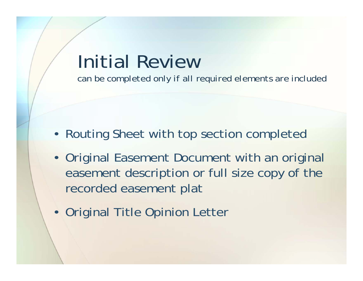## Initial Review

*can be completed only if all required elements are included*

- Routing Sheet with top section completed
- Original Easement Document with an original easement description or full size copy of the recorded easement plat
- Original Title Opinion Letter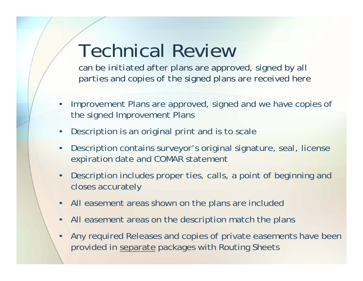## Technical Review

*can be initiated after plans are approved, signed by all parties and copies of the signed plans are received here*

- • Improvement Plans are approved, signed and we have copies of the signed Improvement Plans
- $\bullet$ Description is an original print and is to scale
- • Description contains surveyor's original signature, seal, license expiration date and COMAR statement
- • Description includes proper ties, calls, a point of beginning and closes accurately
- •All easement areas shown on the plans are included
- •All easement areas on the description match the plans
- • Any required Releases and copies of private easements have been provided in separate packages with Routing Sheets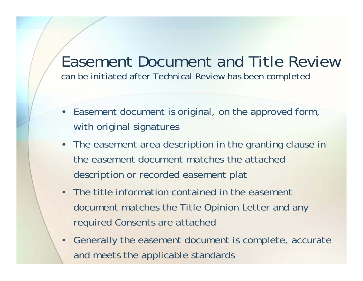#### Easement Document and Title Review *can be initiated after Technical Review has been completed*

- • Easement document is original, on the approved form, with original signatures
- The easement area description in the granting clause in the easement document matches the attached description or recorded easement plat
- The title information contained in the easement document matches the Title Opinion Letter and any required Consents are attached
- Generally the easement document is complete, accurate and meets the applicable standards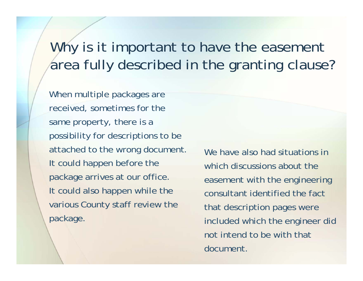#### Why is it important to have the easement area fully described in the granting clause?

When multiple packages are received, sometimes for the same property, there is a possibility for descriptions to be attached to the wrong document. It could happen before the package arrives at our office. It could also happen while the various County staff review the package.

We have also had situations in which discussions about the easement with the engineering consultant identified the fact that description pages were included which the engineer did not intend to be with that document.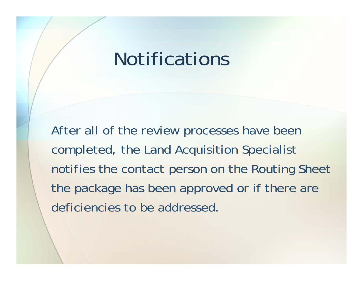## Notifications

After all of the review processes have been completed, the Land Acquisition Specialist notifies the contact person on the Routing Sheet the package has been approved or if there are deficiencies to be addressed.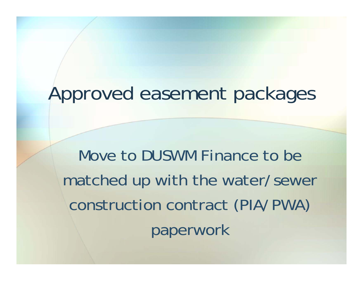## Approved easement packages

Move to DUSWM Finance to be matched up with the water/sewer construction contract (PIA/PWA) paperwork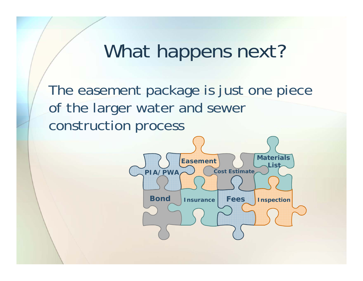#### What happens next?

The easement package is just one piece of the larger water and sewer construction process

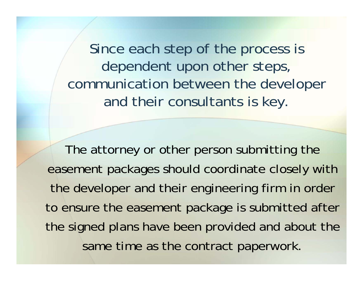Since each step of the process is dependent upon other steps, communication between the developer and their consultants is key.

The attorney or other person submitting the easement packages should coordinate closely with the developer and their engineering firm in order to ensure the easement package is submitted after the signed plans have been provided and about the same time as the contract paperwork.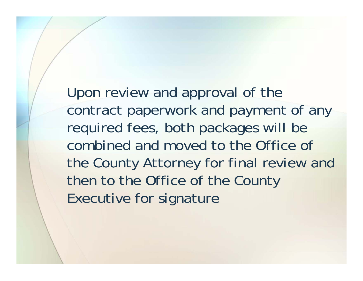Upon review and approval of the contract paperwork and payment of any required fees, both packages will be combined and moved to the Office of the County Attorney for final review and then to the Office of the County Executive for signature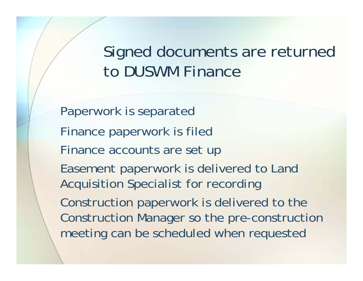Signed documents are returned to DUSWM Finance

Paperwork is separated Finance paperwork is filed Finance accounts are set up Easement paperwork is delivered to Land Acquisition Specialist for recording Construction paperwork is delivered to the Construction Manager so the pre-construction meeting can be scheduled when requested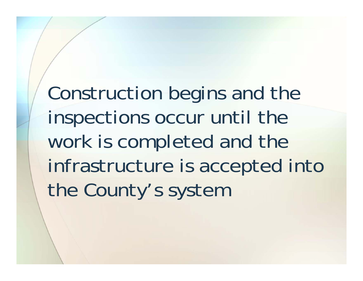Construction begins and the inspections occur until the work is completed and the infrastructure is accepted into the County's system